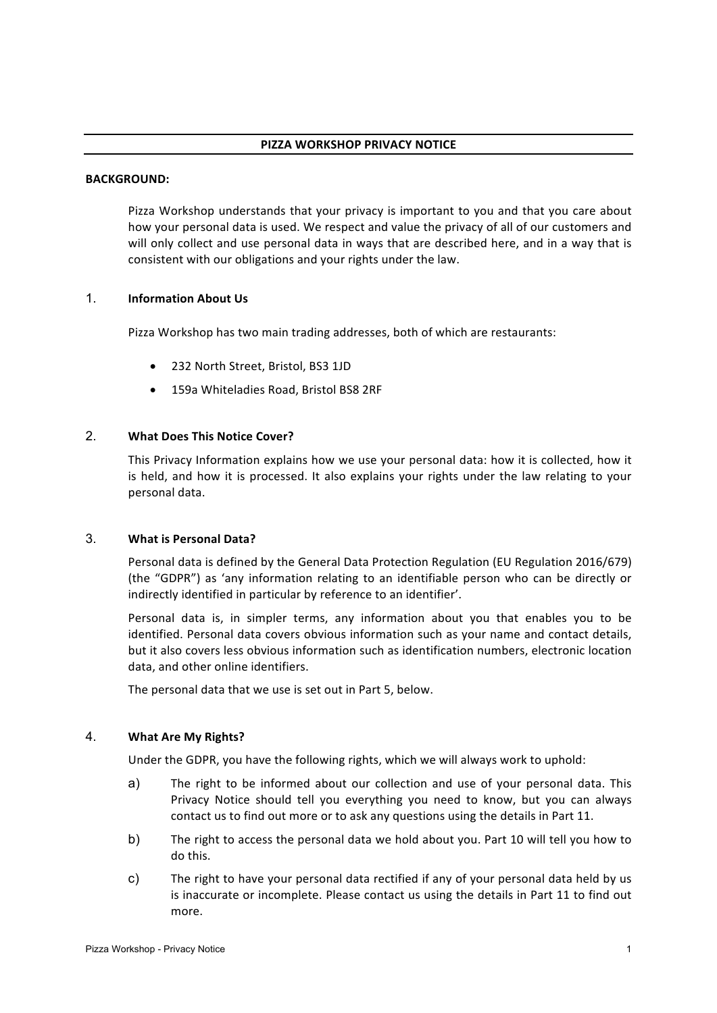#### **BACKGROUND:**

Pizza Workshop understands that your privacy is important to you and that you care about how your personal data is used. We respect and value the privacy of all of our customers and will only collect and use personal data in ways that are described here, and in a way that is consistent with our obligations and your rights under the law.

## 1. **Information About Us**

Pizza Workshop has two main trading addresses, both of which are restaurants:

- 232 North Street, Bristol, BS3 1JD
- 159a Whiteladies Road, Bristol BS8 2RF

### 2. **What Does This Notice Cover?**

This Privacy Information explains how we use your personal data: how it is collected, how it is held, and how it is processed. It also explains your rights under the law relating to your personal data.

### 3. **What is Personal Data?**

Personal data is defined by the General Data Protection Regulation (EU Regulation 2016/679) (the "GDPR") as 'any information relating to an identifiable person who can be directly or indirectly identified in particular by reference to an identifier'.

Personal data is, in simpler terms, any information about you that enables you to be identified. Personal data covers obvious information such as your name and contact details, but it also covers less obvious information such as identification numbers, electronic location data, and other online identifiers.

The personal data that we use is set out in Part 5, below.

### 4. **What Are My Rights?**

Under the GDPR, you have the following rights, which we will always work to uphold:

- a) The right to be informed about our collection and use of your personal data. This Privacy Notice should tell you everything you need to know, but you can always contact us to find out more or to ask any questions using the details in Part 11.
- b) The right to access the personal data we hold about you. Part 10 will tell you how to do this.
- c) The right to have your personal data rectified if any of your personal data held by us is inaccurate or incomplete. Please contact us using the details in Part 11 to find out more.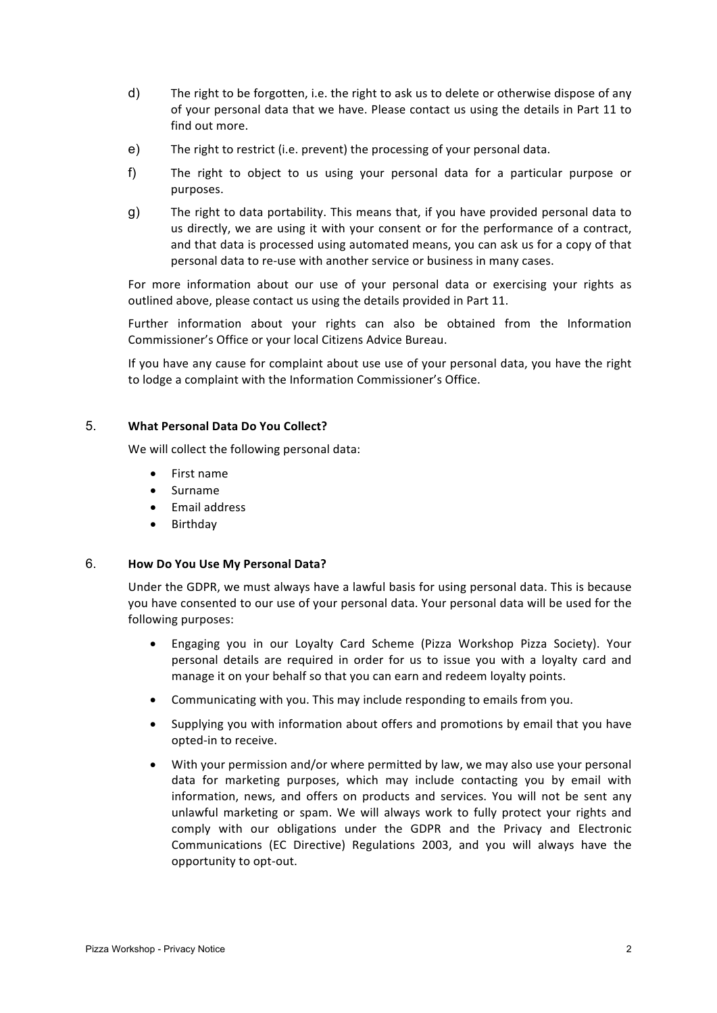- d) The right to be forgotten, i.e. the right to ask us to delete or otherwise dispose of any of your personal data that we have. Please contact us using the details in Part 11 to find out more.
- e) The right to restrict (i.e. prevent) the processing of your personal data.
- f) The right to object to us using your personal data for a particular purpose or purposes.
- g) The right to data portability. This means that, if you have provided personal data to us directly, we are using it with your consent or for the performance of a contract, and that data is processed using automated means, you can ask us for a copy of that personal data to re-use with another service or business in many cases.

For more information about our use of your personal data or exercising your rights as outlined above, please contact us using the details provided in Part 11.

Further information about your rights can also be obtained from the Information Commissioner's Office or your local Citizens Advice Bureau.

If you have any cause for complaint about use use of your personal data, you have the right to lodge a complaint with the Information Commissioner's Office.

### 5. **What Personal Data Do You Collect?**

We will collect the following personal data:

- First name
- Surname
- Email address
- Birthday

### 6. **How Do You Use My Personal Data?**

Under the GDPR, we must always have a lawful basis for using personal data. This is because you have consented to our use of your personal data. Your personal data will be used for the following purposes:

- Engaging you in our Loyalty Card Scheme (Pizza Workshop Pizza Society). Your personal details are required in order for us to issue you with a loyalty card and manage it on your behalf so that you can earn and redeem loyalty points.
- Communicating with you. This may include responding to emails from you.
- Supplying you with information about offers and promotions by email that you have opted-in to receive.
- With your permission and/or where permitted by law, we may also use your personal data for marketing purposes, which may include contacting you by email with information, news, and offers on products and services. You will not be sent any unlawful marketing or spam. We will always work to fully protect your rights and comply with our obligations under the GDPR and the Privacy and Electronic Communications (EC Directive) Regulations 2003, and you will always have the opportunity to opt-out.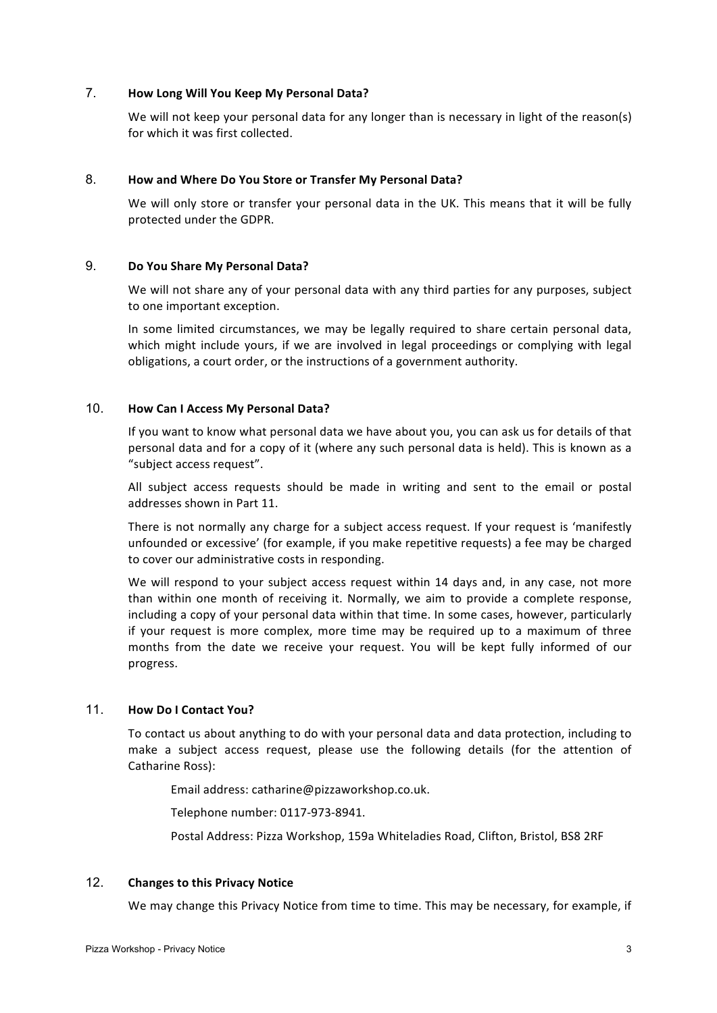# 7. **How Long Will You Keep My Personal Data?**

We will not keep your personal data for any longer than is necessary in light of the reason(s) for which it was first collected.

### 8. **How and Where Do You Store or Transfer My Personal Data?**

We will only store or transfer your personal data in the UK. This means that it will be fully protected under the GDPR.

### 9. **Do You Share My Personal Data?**

We will not share any of your personal data with any third parties for any purposes, subject to one important exception.

In some limited circumstances, we may be legally required to share certain personal data, which might include yours, if we are involved in legal proceedings or complying with legal obligations, a court order, or the instructions of a government authority.

## 10. **How Can I Access My Personal Data?**

If you want to know what personal data we have about you, you can ask us for details of that personal data and for a copy of it (where any such personal data is held). This is known as a "subject access request".

All subject access requests should be made in writing and sent to the email or postal addresses shown in Part 11.

There is not normally any charge for a subject access request. If your request is 'manifestly unfounded or excessive' (for example, if you make repetitive requests) a fee may be charged to cover our administrative costs in responding.

We will respond to your subject access request within 14 days and, in any case, not more than within one month of receiving it. Normally, we aim to provide a complete response, including a copy of your personal data within that time. In some cases, however, particularly if your request is more complex, more time may be required up to a maximum of three months from the date we receive your request. You will be kept fully informed of our progress.

# 11. **How Do I Contact You?**

To contact us about anything to do with your personal data and data protection, including to make a subject access request, please use the following details (for the attention of Catharine Ross):

Email address: catharine@pizzaworkshop.co.uk.

Telephone number: 0117-973-8941.

Postal Address: Pizza Workshop, 159a Whiteladies Road, Clifton, Bristol, BS8 2RF

## 12. Changes to this Privacy Notice

We may change this Privacy Notice from time to time. This may be necessary, for example, if